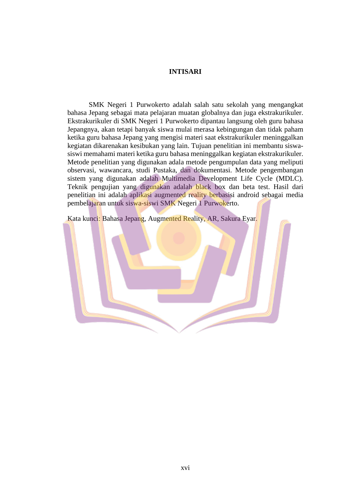## **INTISARI**

SMK Negeri 1 Purwokerto adalah salah satu sekolah yang mengangkat bahasa Jepang sebagai mata pelajaran muatan globalnya dan juga ekstrakurikuler. Ekstrakurikuler di SMK Negeri 1 Purwokerto dipantau langsung oleh guru bahasa Jepangnya, akan tetapi banyak siswa mulai merasa kebingungan dan tidak paham ketika guru bahasa Jepang yang mengisi materi saat ekstrakurikuler meninggalkan kegiatan dikarenakan kesibukan yang lain. Tujuan penelitian ini membantu siswasiswi memahami materi ketika guru bahasa meninggalkan kegiatan ekstrakurikuler. Metode penelitian yang digunakan adala metode pengumpulan data yang meliputi observasi, wawancara, studi Pustaka, dan dokumentasi. Metode pengembangan sistem yang digunakan adalah Multimedia Development Life Cycle (MDLC). Teknik pengujian yang digunakan adalah black box dan beta test. Hasil dari penelitian ini adalah aplikasi augmented reality berbasisi android sebagai media pembelajaran untuk siswa-siswi SMK Negeri 1 Purwokerto.

Kata kunci: Bahasa Jepang, Augmented Reality, AR, Sakura Eyar.